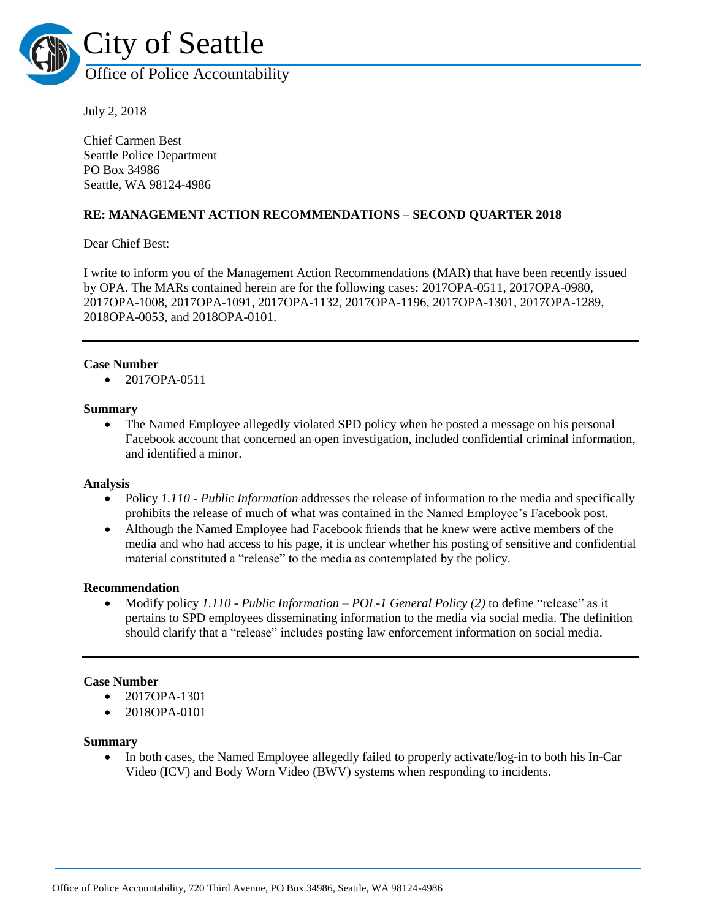

July 2, 2018

Chief Carmen Best Seattle Police Department PO Box 34986 Seattle, WA 98124-4986

# **RE: MANAGEMENT ACTION RECOMMENDATIONS – SECOND QUARTER 2018**

Dear Chief Best:

I write to inform you of the Management Action Recommendations (MAR) that have been recently issued by OPA. The MARs contained herein are for the following cases: 2017OPA-0511, 2017OPA-0980, 2017OPA-1008, 2017OPA-1091, 2017OPA-1132, 2017OPA-1196, 2017OPA-1301, 2017OPA-1289, 2018OPA-0053, and 2018OPA-0101.

#### **Case Number**

• 2017OPA-0511

#### **Summary**

• The Named Employee allegedly violated SPD policy when he posted a message on his personal Facebook account that concerned an open investigation, included confidential criminal information, and identified a minor.

#### **Analysis**

- Policy *1.110 - Public Information* addresses the release of information to the media and specifically prohibits the release of much of what was contained in the Named Employee's Facebook post.
- Although the Named Employee had Facebook friends that he knew were active members of the media and who had access to his page, it is unclear whether his posting of sensitive and confidential material constituted a "release" to the media as contemplated by the policy.

#### **Recommendation**

 Modify policy *1.110 - Public Information – POL-1 General Policy (2)* to define "release" as it pertains to SPD employees disseminating information to the media via social media. The definition should clarify that a "release" includes posting law enforcement information on social media.

## **Case Number**

- 2017OPA-1301
- 2018OPA-0101

#### **Summary**

• In both cases, the Named Employee allegedly failed to properly activate/log-in to both his In-Car Video (ICV) and Body Worn Video (BWV) systems when responding to incidents.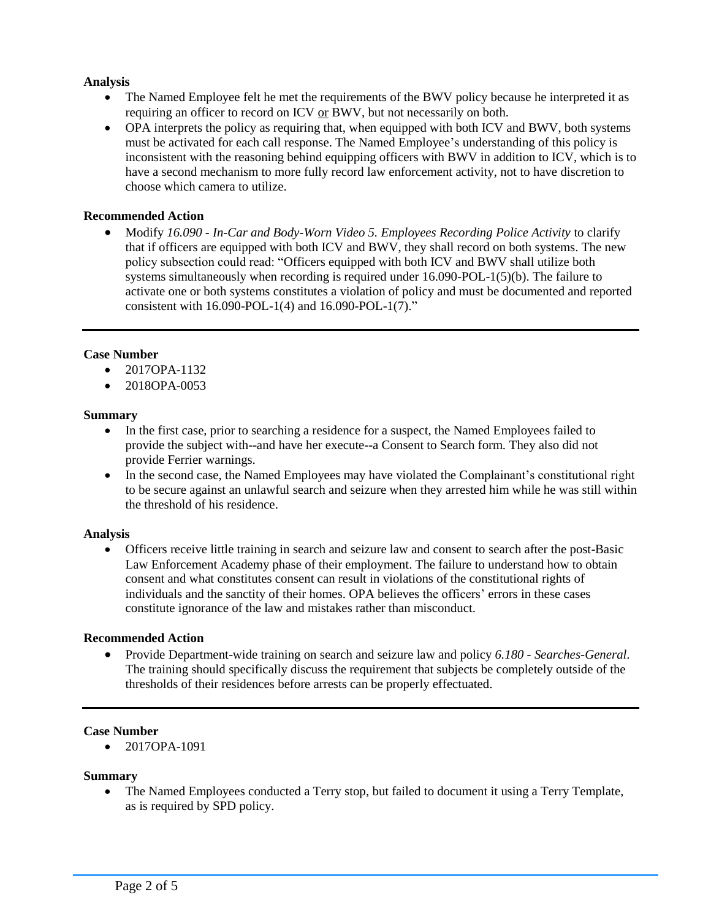# **Analysis**

- The Named Employee felt he met the requirements of the BWV policy because he interpreted it as requiring an officer to record on ICV or BWV, but not necessarily on both.
- OPA interprets the policy as requiring that, when equipped with both ICV and BWV, both systems must be activated for each call response. The Named Employee's understanding of this policy is inconsistent with the reasoning behind equipping officers with BWV in addition to ICV, which is to have a second mechanism to more fully record law enforcement activity, not to have discretion to choose which camera to utilize.

# **Recommended Action**

 Modify *16.090 - In-Car and Body-Worn Video 5. Employees Recording Police Activity* to clarify that if officers are equipped with both ICV and BWV, they shall record on both systems. The new policy subsection could read: "Officers equipped with both ICV and BWV shall utilize both systems simultaneously when recording is required under 16.090-POL-1(5)(b). The failure to activate one or both systems constitutes a violation of policy and must be documented and reported consistent with 16.090-POL-1(4) and 16.090-POL-1(7)."

# **Case Number**

- $\bullet$  2017OPA-1132
- 2018OPA-0053

# **Summary**

- In the first case, prior to searching a residence for a suspect, the Named Employees failed to provide the subject with--and have her execute--a Consent to Search form. They also did not provide Ferrier warnings.
- In the second case, the Named Employees may have violated the Complainant's constitutional right to be secure against an unlawful search and seizure when they arrested him while he was still within the threshold of his residence.

## **Analysis**

 Officers receive little training in search and seizure law and consent to search after the post-Basic Law Enforcement Academy phase of their employment. The failure to understand how to obtain consent and what constitutes consent can result in violations of the constitutional rights of individuals and the sanctity of their homes. OPA believes the officers' errors in these cases constitute ignorance of the law and mistakes rather than misconduct.

## **Recommended Action**

 Provide Department-wide training on search and seizure law and policy *6.180 - Searches-General*. The training should specifically discuss the requirement that subjects be completely outside of the thresholds of their residences before arrests can be properly effectuated.

## **Case Number**

• 2017OPA-1091

# **Summary**

• The Named Employees conducted a Terry stop, but failed to document it using a Terry Template, as is required by SPD policy.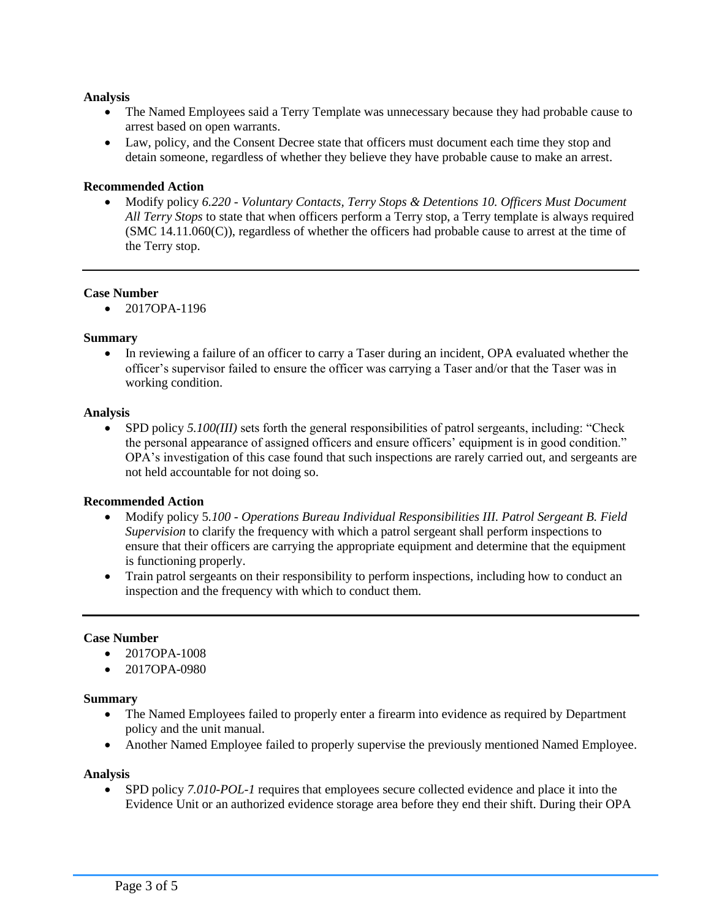# **Analysis**

- The Named Employees said a Terry Template was unnecessary because they had probable cause to arrest based on open warrants.
- Law, policy, and the Consent Decree state that officers must document each time they stop and detain someone, regardless of whether they believe they have probable cause to make an arrest.

# **Recommended Action**

 Modify policy *6.220 - Voluntary Contacts, Terry Stops & Detentions 10. Officers Must Document All Terry Stops* to state that when officers perform a Terry stop, a Terry template is always required (SMC 14.11.060(C)), regardless of whether the officers had probable cause to arrest at the time of the Terry stop.

## **Case Number**

 $\bullet$  2017OPA-1196

# **Summary**

 In reviewing a failure of an officer to carry a Taser during an incident, OPA evaluated whether the officer's supervisor failed to ensure the officer was carrying a Taser and/or that the Taser was in working condition.

## **Analysis**

 SPD policy *5.100(III)* sets forth the general responsibilities of patrol sergeants, including: "Check the personal appearance of assigned officers and ensure officers' equipment is in good condition." OPA's investigation of this case found that such inspections are rarely carried out, and sergeants are not held accountable for not doing so.

## **Recommended Action**

- Modify policy 5*.100 - Operations Bureau Individual Responsibilities III. Patrol Sergeant B. Field Supervision* to clarify the frequency with which a patrol sergeant shall perform inspections to ensure that their officers are carrying the appropriate equipment and determine that the equipment is functioning properly.
- Train patrol sergeants on their responsibility to perform inspections, including how to conduct an inspection and the frequency with which to conduct them.

## **Case Number**

- $\bullet$  2017OPA-1008
- 2017OPA-0980

## **Summary**

- The Named Employees failed to properly enter a firearm into evidence as required by Department policy and the unit manual.
- Another Named Employee failed to properly supervise the previously mentioned Named Employee.

## **Analysis**

 SPD policy *7.010-POL-1* requires that employees secure collected evidence and place it into the Evidence Unit or an authorized evidence storage area before they end their shift. During their OPA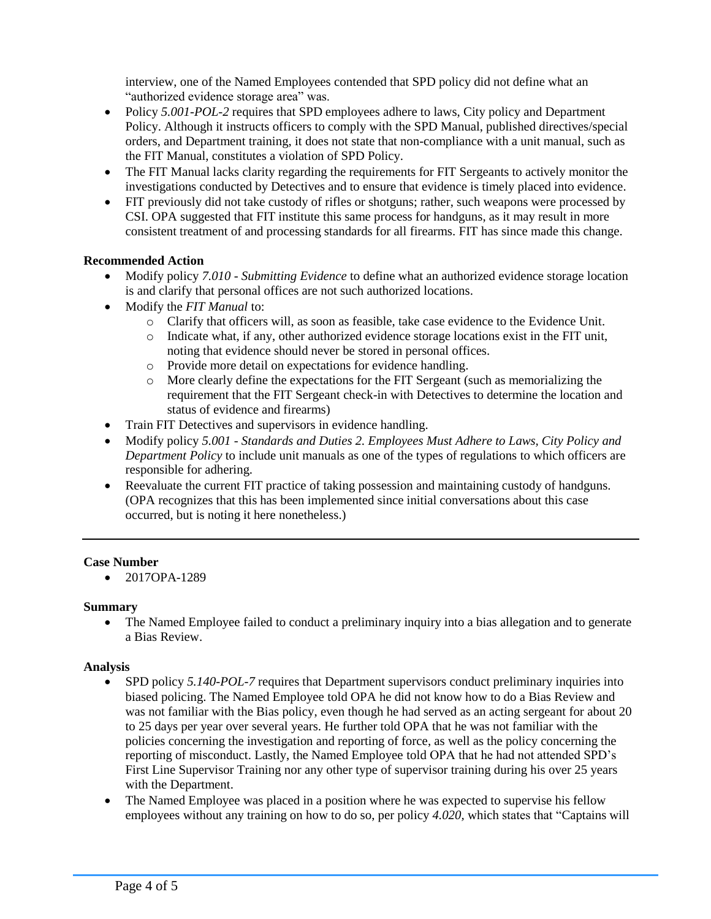interview, one of the Named Employees contended that SPD policy did not define what an "authorized evidence storage area" was.

- Policy 5.001-POL-2 requires that SPD employees adhere to laws, City policy and Department Policy. Although it instructs officers to comply with the SPD Manual, published directives/special orders, and Department training, it does not state that non-compliance with a unit manual, such as the FIT Manual, constitutes a violation of SPD Policy.
- The FIT Manual lacks clarity regarding the requirements for FIT Sergeants to actively monitor the investigations conducted by Detectives and to ensure that evidence is timely placed into evidence.
- FIT previously did not take custody of rifles or shotguns; rather, such weapons were processed by CSI. OPA suggested that FIT institute this same process for handguns, as it may result in more consistent treatment of and processing standards for all firearms. FIT has since made this change.

# **Recommended Action**

- Modify policy *7.010 - Submitting Evidence* to define what an authorized evidence storage location is and clarify that personal offices are not such authorized locations.
- Modify the *FIT Manual* to:
	- o Clarify that officers will, as soon as feasible, take case evidence to the Evidence Unit.
	- o Indicate what, if any, other authorized evidence storage locations exist in the FIT unit, noting that evidence should never be stored in personal offices.
	- o Provide more detail on expectations for evidence handling.
	- o More clearly define the expectations for the FIT Sergeant (such as memorializing the requirement that the FIT Sergeant check-in with Detectives to determine the location and status of evidence and firearms)
- Train FIT Detectives and supervisors in evidence handling.
- Modify policy *5.001 - Standards and Duties 2. Employees Must Adhere to Laws, City Policy and Department Policy* to include unit manuals as one of the types of regulations to which officers are responsible for adhering.
- Reevaluate the current FIT practice of taking possession and maintaining custody of handguns. (OPA recognizes that this has been implemented since initial conversations about this case occurred, but is noting it here nonetheless.)

# **Case Number**

 $\bullet$  2017OPA-1289

# **Summary**

• The Named Employee failed to conduct a preliminary inquiry into a bias allegation and to generate a Bias Review.

# **Analysis**

- SPD policy *5.140-POL-7* requires that Department supervisors conduct preliminary inquiries into biased policing. The Named Employee told OPA he did not know how to do a Bias Review and was not familiar with the Bias policy, even though he had served as an acting sergeant for about 20 to 25 days per year over several years. He further told OPA that he was not familiar with the policies concerning the investigation and reporting of force, as well as the policy concerning the reporting of misconduct. Lastly, the Named Employee told OPA that he had not attended SPD's First Line Supervisor Training nor any other type of supervisor training during his over 25 years with the Department.
- The Named Employee was placed in a position where he was expected to supervise his fellow employees without any training on how to do so, per policy *4.020,* which states that "Captains will